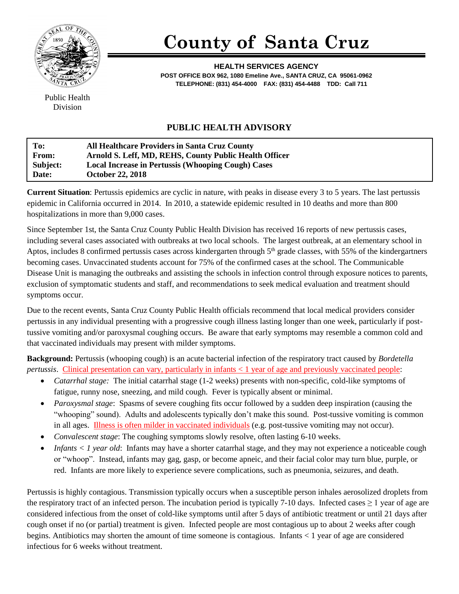

## **County of Santa Cruz**

**HEALTH SERVICES AGENCY POST OFFICE BOX 962, 1080 Emeline Ave., SANTA CRUZ, CA 95061-0962 TELEPHONE: (831) 454-4000 FAX: (831) 454-4488 TDD: Call 711**

Public Health Division

## **PUBLIC HEALTH ADVISORY**

| To:          | <b>All Healthcare Providers in Santa Cruz County</b>      |
|--------------|-----------------------------------------------------------|
| <b>From:</b> | Arnold S. Leff, MD, REHS, County Public Health Officer    |
| Subject:     | <b>Local Increase in Pertussis (Whooping Cough) Cases</b> |
| Date:        | <b>October 22, 2018</b>                                   |

**Current Situation**: Pertussis epidemics are cyclic in nature, with peaks in disease every 3 to 5 years. The last pertussis epidemic in California occurred in 2014. In 2010, a statewide epidemic resulted in 10 deaths and more than 800 hospitalizations in more than 9,000 cases.

Since September 1st, the Santa Cruz County Public Health Division has received 16 reports of new pertussis cases, including several cases associated with outbreaks at two local schools. The largest outbreak, at an elementary school in Aptos, includes 8 confirmed pertussis cases across kindergarten through  $5<sup>th</sup>$  grade classes, with 55% of the kindergartners becoming cases. Unvaccinated students account for 75% of the confirmed cases at the school. The Communicable Disease Unit is managing the outbreaks and assisting the schools in infection control through exposure notices to parents, exclusion of symptomatic students and staff, and recommendations to seek medical evaluation and treatment should symptoms occur.

Due to the recent events, Santa Cruz County Public Health officials recommend that local medical providers consider pertussis in any individual presenting with a progressive cough illness lasting longer than one week, particularly if posttussive vomiting and/or paroxysmal coughing occurs. Be aware that early symptoms may resemble a common cold and that vaccinated individuals may present with milder symptoms.

**Background:** Pertussis (whooping cough) is an acute bacterial infection of the respiratory tract caused by *Bordetella pertussis*. Clinical presentation can vary, particularly in infants < 1 year of age and previously vaccinated people:

- *Catarrhal stage:* The initial catarrhal stage (1-2 weeks) presents with non-specific, cold-like symptoms of fatigue, runny nose, sneezing, and mild cough. Fever is typically absent or minimal.
- *Paroxysmal stage*: Spasms of severe coughing fits occur followed by a sudden deep inspiration (causing the "whooping" sound). Adults and adolescents typically don't make this sound. Post-tussive vomiting is common in all ages. Illness is often milder in vaccinated individuals (e.g. post-tussive vomiting may not occur).
- *Convalescent stage*: The coughing symptoms slowly resolve, often lasting 6-10 weeks.
- *Infants < 1 year old*: Infants may have a shorter catarrhal stage, and they may not experience a noticeable cough or "whoop". Instead, infants may gag, gasp, or become apneic, and their facial color may turn blue, purple, or red. Infants are more likely to experience severe complications, such as pneumonia, seizures, and death.

Pertussis is highly contagious. Transmission typically occurs when a susceptible person inhales aerosolized droplets from the respiratory tract of an infected person. The incubation period is typically 7-10 days. Infected cases  $\geq 1$  year of age are considered infectious from the onset of cold-like symptoms until after 5 days of antibiotic treatment or until 21 days after cough onset if no (or partial) treatment is given. Infected people are most contagious up to about 2 weeks after cough begins. Antibiotics may shorten the amount of time someone is contagious. Infants < 1 year of age are considered infectious for 6 weeks without treatment.